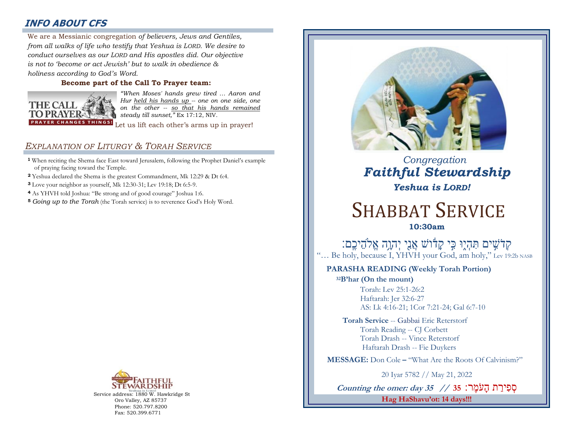## **INFO ABOUT CFS**

: *conduct ourselves as our LORD and His apostles did. Our objective*  We are a Messianic congregation *of believers, Jews and Gentiles, from all walks of life who testify that Yeshua is LORD. We desire to is not to 'become or act Jewish' but to walk in obedience & holiness according to God's Word.* 

### **Become part of the Call To Prayer team:**



*"When Moses' hands grew tired … Aaron and Hur held his hands up -- one on one side, one on the other -- so that his hands remained steady till sunset,"* Ex 17:12, NIV.

Let us lift each other's arms up in prayer!

## *EXPLANATION OF LITURGY & TORAH SERVICE*

- **<sup>1</sup>** When reciting the Shema face East toward Jerusalem, following the Prophet Daniel's example of praying facing toward the Temple.
- **<sup>2</sup>** Yeshua declared the Shema is the greatest Commandment, Mk 12:29 & Dt 6:4.
- **<sup>3</sup>** Love your neighbor as yourself, Mk 12:30-31; Lev 19:18; Dt 6:5-9.
- **<sup>4</sup>** As YHVH told Joshua: "Be strong and of good courage" Joshua 1:6.
- **<sup>5</sup>** *Going up to the Torah* (the Torah service) is to reverence God's Holy Word.



Service address: 1880 W. Hawkridge St Oro Valley, AZ 85737 Phone: 520.797.8200 Fax: 520.399.6771



 *Congregation Faithful Stewardship Yeshua is LORD!*

# SHABBAT SERVICE **10:30am**

ֹקְרֹשִׁים תִּהְיֶוּ כִּי קָדֿוֹשׁ אֲנֵי יְהוָה אֱלֹהֵיכֶם: "... Be holy, because I, YHVH your God, am holy," Lev 19:2b NASB

## **PARASHA READING (Weekly Torah Portion)**

**<sup>32</sup>B'har (On the mount)** Torah: Lev 25:1-26:2 Haftarah: Jer 32:6-27 AS: Lk 4:16-21; 1Cor 7:21-24; Gal 6:7-10

**Torah Service** -- Gabbai Eric Reterstorf Torah Reading -- CJ Corbett Torah Drash -- Vince Reterstorf Haftarah Drash -- Fie Duykers

 **MESSAGE:** Don Cole **–** "What Are the Roots Of Calvinism?"

20 Iyar 5782 // May 21, 2022

סְ פ ירַ ת הָעֹמ ר : **35 // 35 day :omer the Counting Hag HaShavu'ot: 14 days!!!**